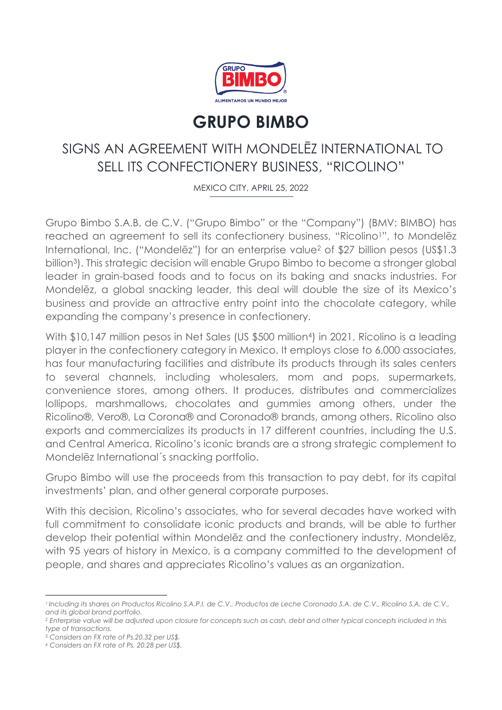

# **GRUPO BIMBO**

## SIGNS AN AGREEMENT WITH MONDELĒZ INTERNATIONAL TO SELL ITS CONFECTIONERY BUSINESS, "RICOLINO"

MEXICO CITY, APRIL 25, 2022

Grupo Bimbo S.A.B. de C.V. ("Grupo Bimbo" or the "Company") (BMV: BIMBO) has reached an agreement to sell its confectionery business, "Ricolino1", to Mondelēz International, Inc. ("Mondelez") for an enterprise value<sup>2</sup> of \$27 billion pesos (US\$1.3 billion3). This strategic decision will enable Grupo Bimbo to become a stronger global leader in grain-based foods and to focus on its baking and snacks industries. For Mondelēz, a global snacking leader, this deal will double the size of its Mexico's business and provide an attractive entry point into the chocolate category, while expanding the company's presence in confectionery.

With \$10,147 million pesos in Net Sales (US \$500 million4) in 2021, Ricolino is a leading player in the confectionery category in Mexico. It employs close to 6,000 associates, has four manufacturing facilities and distribute its products through its sales centers to several channels, including wholesalers, mom and pops, supermarkets, convenience stores, among others. It produces, distributes and commercializes lollipops, marshmallows, chocolates and gummies among others, under the Ricolino®, Vero®, La Corona® and Coronado® brands, among others. Ricolino also exports and commercializes its products in 17 different countries, including the U.S. and Central America. Ricolino's iconic brands are a strong strategic complement to Mondelēz International´s snacking portfolio.

Grupo Bimbo will use the proceeds from this transaction to pay debt, for its capital investments' plan, and other general corporate purposes.

With this decision, Ricolino's associates, who for several decades have worked with full commitment to consolidate iconic products and brands, will be able to further develop their potential within Mondelēz and the confectionery industry. Mondelēz, with 95 years of history in Mexico, is a company committed to the development of people, and shares and appreciates Ricolino's values as an organization.

*<sup>1</sup> Including its shares on Productos Ricolino S.A.P.I. de C.V., Productos de Leche Coronado S.A. de C.V., Ricolino S.A. de C.V., and its global brand portfolio.*

*<sup>2</sup> Enterprise value will be adjusted upon closure for concepts such as cash, debt and other typical concepts included in this type of transactions.*

*<sup>3</sup> Considers an FX rate of Ps.20.32 per US\$.*

*<sup>4</sup> Considers an FX rate of Ps. 20.28 per US\$.*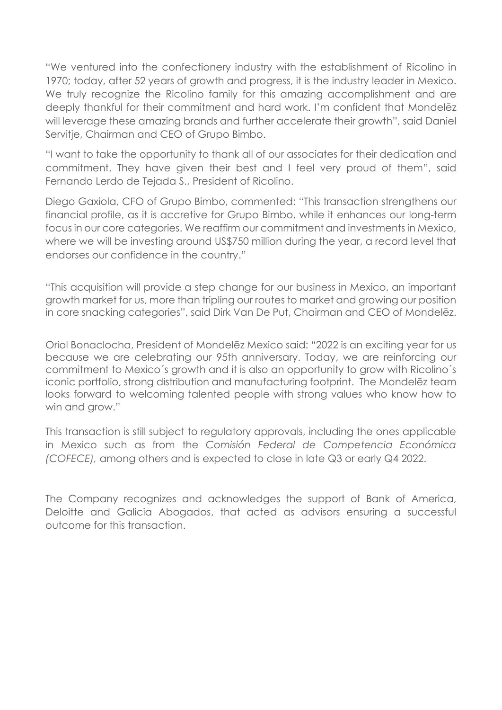"We ventured into the confectionery industry with the establishment of Ricolino in 1970; today, after 52 years of growth and progress, it is the industry leader in Mexico. We truly recognize the Ricolino family for this amazing accomplishment and are deeply thankful for their commitment and hard work. I'm confident that Mondelēz will leverage these amazing brands and further accelerate their growth", said Daniel Servitje, Chairman and CEO of Grupo Bimbo.

"I want to take the opportunity to thank all of our associates for their dedication and commitment. They have given their best and I feel very proud of them", said Fernando Lerdo de Tejada S., President of Ricolino.

Diego Gaxiola, CFO of Grupo Bimbo, commented: "This transaction strengthens our financial profile, as it is accretive for Grupo Bimbo, while it enhances our long-term focus in our core categories. We reaffirm our commitment and investments in Mexico, where we will be investing around US\$750 million during the year, a record level that endorses our confidence in the country."

"This acquisition will provide a step change for our business in Mexico, an important growth market for us, more than tripling our routes to market and growing our position in core snacking categories", said Dirk Van De Put, Chairman and CEO of Mondelēz.

Oriol Bonaclocha, President of Mondelēz Mexico said: "2022 is an exciting year for us because we are celebrating our 95th anniversary. Today, we are reinforcing our commitment to Mexico´s growth and it is also an opportunity to grow with Ricolino´s iconic portfolio, strong distribution and manufacturing footprint. The Mondelēz team looks forward to welcoming talented people with strong values who know how to win and grow."

This transaction is still subject to regulatory approvals, including the ones applicable in Mexico such as from the *Comisión Federal de Competencia Económica (COFECE),* among others and is expected to close in late Q3 or early Q4 2022.

The Company recognizes and acknowledges the support of Bank of America, Deloitte and Galicia Abogados, that acted as advisors ensuring a successful outcome for this transaction.